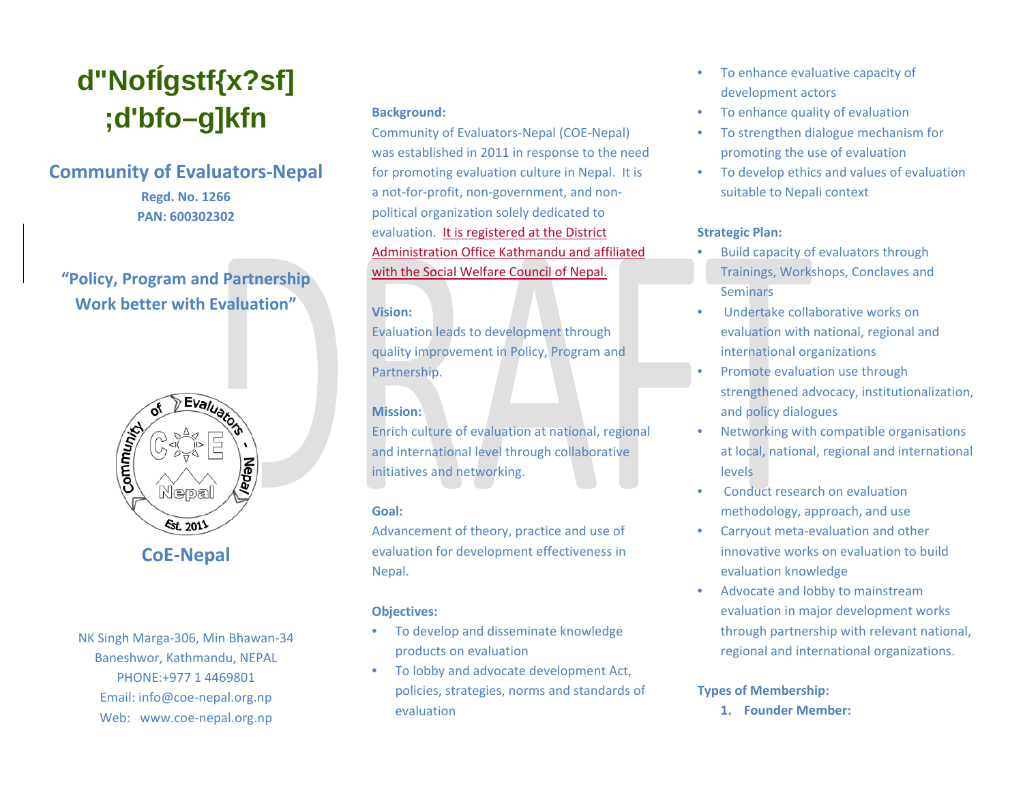# **d"NofÍgstf{x?sf] ;d'bfo–g]kfn**

# **Community of Evaluators-Nepal**

**Regd. No. 1266 PAN: 600302302**

# **"Policy, Program and Partnership Work better with Evaluation"**



NK Singh Marga-306, Min Bhawan-34 Baneshwor, Kathmandu, NEPAL PHONE:+977 1 4469801 Email: [info@coe-nepal.org.np](mailto:info@coe-nepal.org.np) Web: [www.coe-nepal.org.np](http://www.coe-nepal.org.np/)

#### **Background:**

Community of Evaluators-Nepal (COE-Nepal) was established in 2011 in response to the need for promoting evaluation culture in Nepal. It is a not-for-profit, non-government, and nonpolitical organization solely dedicated to evaluation. It is registered at the District Administration Office Kathmandu and affiliated with the Social Welfare Council of Nepal.

## **Vision:**

Evaluation leads to development through quality improvement in Policy, Program and Partnership.

# **Mission:**

Enrich culture of evaluation at national, regional and international level through collaborative initiatives and networking.

# **Goal:**

Advancement of theory, practice and use of evaluation for development effectiveness in Nepal.

# **Objectives:**

- To develop and disseminate knowledge products on evaluation
- To lobby and advocate development Act, policies, strategies, norms and standards of evaluation
- To enhance evaluative capacity of development actors
- To enhance quality of evaluation
- To strengthen dialogue mechanism for promoting the use of evaluation
- To develop ethics and values of evaluation suitable to Nepali context

# **Strategic Plan:**

- Build capacity of evaluators through Trainings, Workshops, Conclaves and Seminars
- Undertake collaborative works on evaluation with national, regional and international organizations
- Promote evaluation use through strengthened advocacy, institutionalization, and policy dialogues
- Networking with compatible organisations at local, national, regional and international levels
- Conduct research on evaluation methodology, approach, and use
- Carryout meta-evaluation and other innovative works on evaluation to build evaluation knowledge
- Advocate and lobby to mainstream evaluation in major development works through partnership with relevant national, regional and international organizations.

# **Types of Membership:**

**1. Founder Member:**